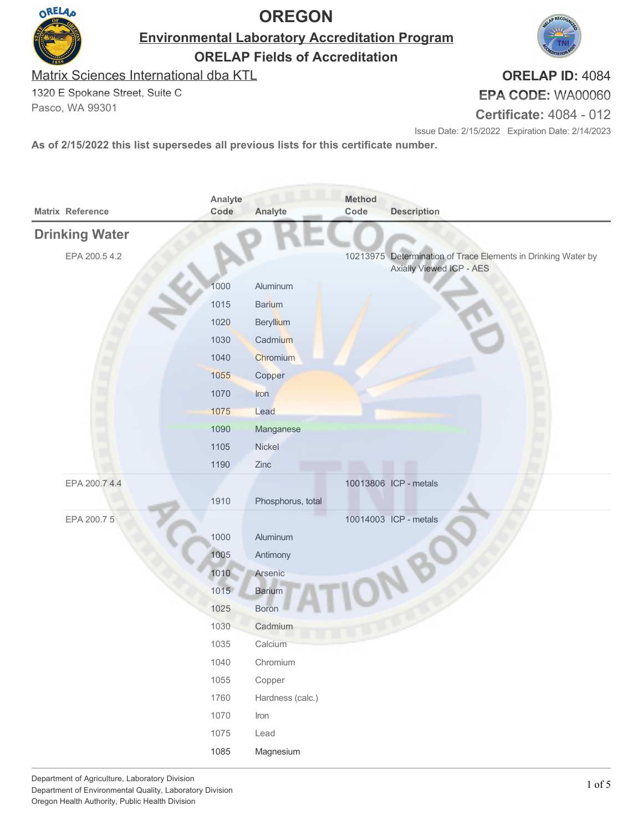

**Environmental Laboratory Accreditation Program ORELAP Fields of Accreditation**

Matrix Sciences International dba KTL

1320 E Spokane Street, Suite C Pasco, WA 99301

**ORELAP ID:** 4084 **EPA CODE:** WA00060

**Certificate:** 4084 - 012

Issue Date: 2/15/2022 Expiration Date: 2/14/2023

| Matrix Reference      | Analyte<br>Code | Analyte           | <b>Method</b><br>Code | <b>Description</b>                                            |
|-----------------------|-----------------|-------------------|-----------------------|---------------------------------------------------------------|
| <b>Drinking Water</b> |                 |                   |                       |                                                               |
| EPA 200.5 4.2         |                 |                   |                       | 10213975 Determination of Trace Elements in Drinking Water by |
|                       |                 |                   |                       | Axially Viewed ICP - AES                                      |
|                       | 1000            | Aluminum          |                       |                                                               |
|                       | 1015            | <b>Barium</b>     |                       |                                                               |
|                       | 1020            | Beryllium         |                       |                                                               |
|                       | 1030            | Cadmium           |                       |                                                               |
|                       | 1040            | Chromium          |                       |                                                               |
|                       | 1055            | Copper            |                       |                                                               |
|                       | 1070            | Iron              |                       |                                                               |
|                       | 1075            | Lead              |                       |                                                               |
|                       | 1090            | Manganese         |                       |                                                               |
|                       | 1105            | Nickel            |                       |                                                               |
|                       | 1190            | Zinc              |                       |                                                               |
| EPA 200.7 4.4         |                 |                   |                       | 10013806 ICP - metals                                         |
|                       | 1910            | Phosphorus, total |                       |                                                               |
| EPA 200.75            |                 |                   |                       | 10014003 ICP - metals                                         |
|                       | 1000            | Aluminum          |                       |                                                               |
|                       | 1005            | Antimony          |                       |                                                               |
|                       | 1010            | Arsenic           |                       |                                                               |
|                       | 1015            | <b>Barium</b>     |                       |                                                               |
|                       | 1025            | Boron             |                       |                                                               |
|                       | 1030            | Cadmium           |                       |                                                               |
|                       | 1035            | Calcium           |                       |                                                               |
|                       | 1040            | Chromium          |                       |                                                               |
|                       | 1055            | Copper            |                       |                                                               |
|                       | 1760            | Hardness (calc.)  |                       |                                                               |
|                       | 1070            | Iron              |                       |                                                               |
|                       | 1075            | Lead              |                       |                                                               |
|                       | 1085            | Magnesium         |                       |                                                               |
|                       |                 |                   |                       |                                                               |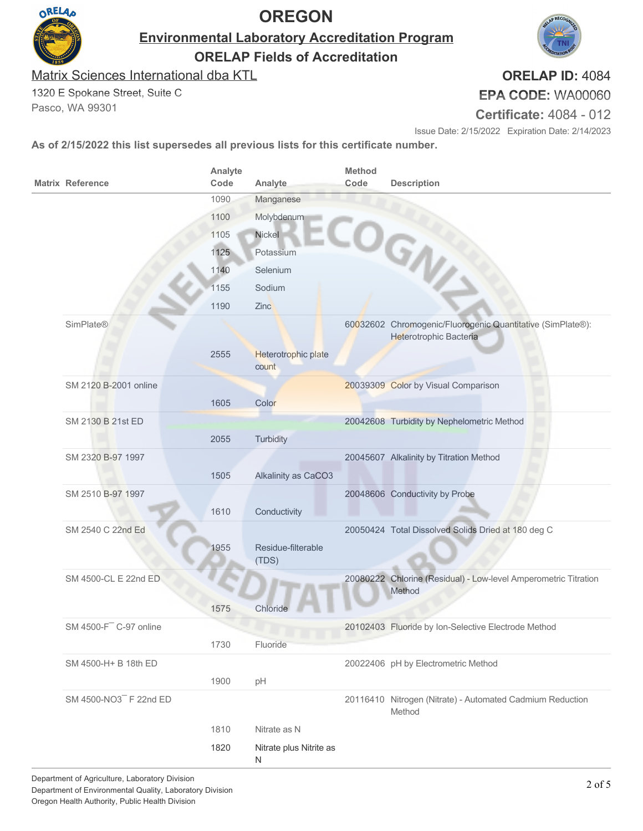

**Environmental Laboratory Accreditation Program**

**ORELAP Fields of Accreditation**

Matrix Sciences International dba KTL

1320 E Spokane Street, Suite C Pasco, WA 99301

**ORELAP ID:** 4084

**EPA CODE:** WA00060

**Certificate:** 4084 - 012

Issue Date: 2/15/2022 Expiration Date: 2/14/2023

| <b>Matrix Reference</b>      | Analyte<br>Code | Analyte                      | <b>Method</b><br>Code | <b>Description</b>                                                                   |
|------------------------------|-----------------|------------------------------|-----------------------|--------------------------------------------------------------------------------------|
|                              | 1090            | Manganese                    |                       |                                                                                      |
|                              | 1100            | Molybdenum                   |                       |                                                                                      |
|                              | 1105            | Nickel                       |                       |                                                                                      |
|                              | 1125            | Potassium                    |                       |                                                                                      |
|                              | 1140            | Selenium                     |                       |                                                                                      |
|                              | 1155            | Sodium                       |                       | COGN!                                                                                |
|                              | 1190            | Zinc                         |                       |                                                                                      |
| <b>SimPlate®</b>             |                 |                              |                       | 60032602 Chromogenic/Fluorogenic Quantitative (SimPlate®):<br>Heterotrophic Bacteria |
|                              | 2555            | Heterotrophic plate<br>count |                       |                                                                                      |
| SM 2120 B-2001 online        |                 |                              |                       | 20039309 Color by Visual Comparison                                                  |
|                              | 1605            | Color                        |                       |                                                                                      |
| SM 2130 B 21st ED            |                 |                              |                       | 20042608 Turbidity by Nephelometric Method                                           |
|                              | 2055            | Turbidity                    |                       |                                                                                      |
| SM 2320 B-97 1997            |                 |                              |                       | 20045607 Alkalinity by Titration Method                                              |
|                              | 1505            | Alkalinity as CaCO3          |                       |                                                                                      |
| SM 2510 B-97 1997            |                 |                              |                       | 20048606 Conductivity by Probe                                                       |
|                              | 1610            | Conductivity                 |                       |                                                                                      |
| SM 2540 C 22nd Ed            |                 |                              |                       | 20050424 Total Dissolved Solids Dried at 180 deg C                                   |
|                              | 1955            | Residue-filterable<br>(TDS)  |                       |                                                                                      |
| SM 4500-CL E 22nd ED         |                 |                              |                       | 20080222 Chlorine (Residual) - Low-level Amperometric Titration<br>Method            |
|                              | 1575            | Chloride                     |                       |                                                                                      |
| $SM$ 4500- $F^-$ C-97 online |                 |                              |                       | 20102403 Fluoride by Ion-Selective Electrode Method                                  |
|                              | 1730            | w<br>Fluoride                |                       |                                                                                      |
| SM 4500-H+ B 18th ED         |                 |                              |                       | 20022406 pH by Electrometric Method                                                  |
|                              | 1900            | pH                           |                       |                                                                                      |
| SM 4500-NO3 F 22nd ED        |                 |                              |                       | 20116410 Nitrogen (Nitrate) - Automated Cadmium Reduction<br>Method                  |
|                              | 1810            | Nitrate as N                 |                       |                                                                                      |
|                              | 1820            | Nitrate plus Nitrite as<br>N |                       |                                                                                      |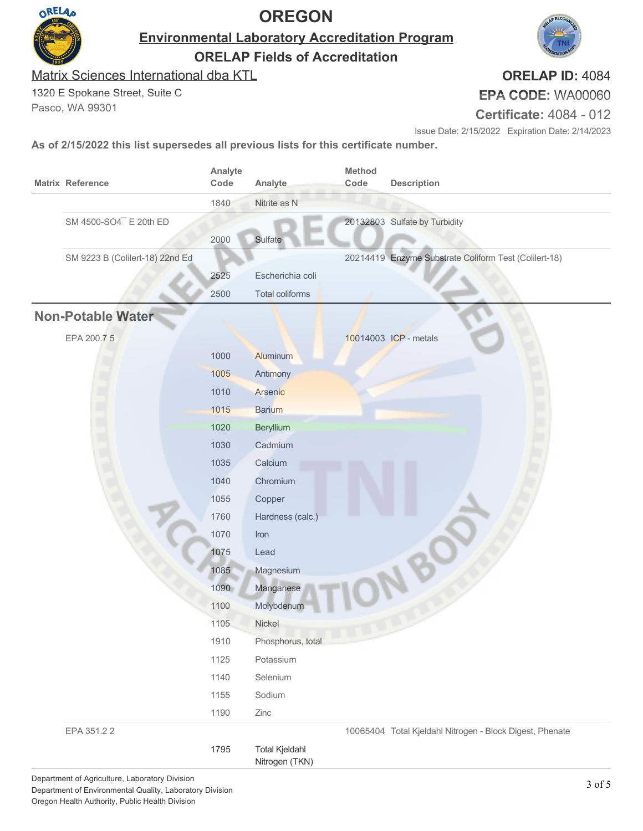

**Environmental Laboratory Accreditation Program**

**ORELAP Fields of Accreditation**

Matrix Sciences International dba KTL

1320 E Spokane Street, Suite C

Pasco, WA 99301

**ORELAP ID:** 4084 **EPA CODE:** WA00060

**Certificate:** 4084 - 012

Issue Date: 2/15/2022 Expiration Date: 2/14/2023

| <b>Matrix Reference</b>            | Analyte<br>Code | Analyte                                 | Method<br>Code | <b>Description</b>                                       |
|------------------------------------|-----------------|-----------------------------------------|----------------|----------------------------------------------------------|
|                                    | 1840            | Nitrite as N                            |                |                                                          |
| SM 4500-SO4 <sup>-</sup> E 20th ED |                 |                                         |                | 20132803 Sulfate by Turbidity                            |
|                                    | 2000            | Sulfate                                 |                |                                                          |
| SM 9223 B (Colilert-18) 22nd Ed    |                 |                                         |                | 20214419 Enzyme Substrate Coliform Test (Colilert-18)    |
|                                    | 2525            | Escherichia coli                        |                |                                                          |
|                                    | 2500            | Total coliforms                         |                |                                                          |
| Non-Potable Water                  |                 |                                         |                |                                                          |
| EPA 200.75                         |                 |                                         |                | 10014003 ICP - metals                                    |
|                                    | 1000            | Aluminum                                |                |                                                          |
|                                    | 1005            | <b>Antimony</b>                         |                |                                                          |
|                                    | 1010            | Arsenic                                 |                |                                                          |
|                                    | 1015            | <b>Barium</b>                           |                |                                                          |
|                                    | 1020            | Beryllium                               |                |                                                          |
|                                    | 1030            | Cadmium                                 |                |                                                          |
|                                    | 1035            | Calcium                                 |                |                                                          |
|                                    | 1040            | Chromium                                |                |                                                          |
|                                    | 1055            | Copper                                  |                |                                                          |
|                                    | 1760            | Hardness (calc.)                        |                |                                                          |
|                                    | 1070            | Iron                                    |                |                                                          |
|                                    | 1075            | Lead                                    |                |                                                          |
|                                    | 1085            | Magnesium                               |                |                                                          |
|                                    | 1090            | Manganese                               |                |                                                          |
|                                    | 1100            | Molybdenum                              |                |                                                          |
|                                    | 1105            | Nickel                                  |                |                                                          |
|                                    | 1910            | Phosphorus, total                       |                |                                                          |
|                                    | 1125            | Potassium                               |                |                                                          |
|                                    | 1140            | Selenium                                |                |                                                          |
|                                    | 1155            | Sodium                                  |                |                                                          |
|                                    | 1190            | Zinc                                    |                |                                                          |
| EPA 351.22                         |                 |                                         |                | 10065404 Total Kjeldahl Nitrogen - Block Digest, Phenate |
|                                    | 1795            | <b>Total Kjeldahl</b><br>Nitrogen (TKN) |                |                                                          |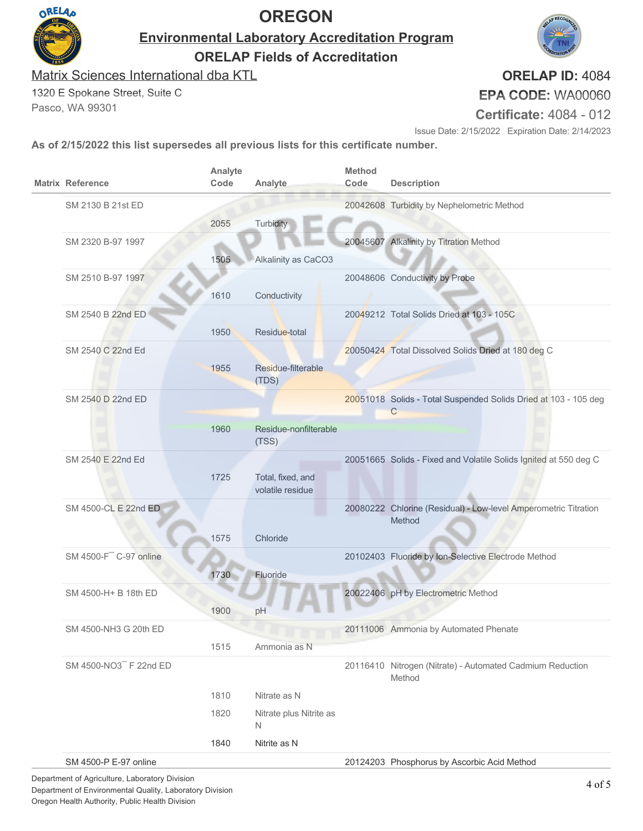

**Environmental Laboratory Accreditation Program ORELAP Fields of Accreditation**

Matrix Sciences International dba KTL

1320 E Spokane Street, Suite C Pasco, WA 99301

**ORELAP ID:** 4084 **EPA CODE:** WA00060

**Certificate:** 4084 - 012

Issue Date: 2/15/2022 Expiration Date: 2/14/2023

|  | <b>Matrix Reference</b>            | Analyte<br>Code | Analyte                               | <b>Method</b><br>Code | <b>Description</b>                                                  |
|--|------------------------------------|-----------------|---------------------------------------|-----------------------|---------------------------------------------------------------------|
|  | SM 2130 B 21st ED                  |                 |                                       |                       | 20042608 Turbidity by Nephelometric Method                          |
|  |                                    | 2055            | Turbidity                             |                       |                                                                     |
|  | SM 2320 B-97 1997                  |                 |                                       |                       | 20045607 Alkalinity by Titration Method                             |
|  |                                    | 1505            | Alkalinity as CaCO3                   |                       |                                                                     |
|  | SM 2510 B-97 1997                  |                 |                                       |                       | 20048606 Conductivity by Probe                                      |
|  |                                    | 1610            | Conductivity                          |                       |                                                                     |
|  | SM 2540 B 22nd ED                  |                 |                                       |                       | 20049212 Total Solids Dried at 103 - 105C                           |
|  |                                    | 1950            | Residue-total                         |                       |                                                                     |
|  | SM 2540 C 22nd Ed                  |                 |                                       |                       | 20050424 Total Dissolved Solids Dried at 180 deg C                  |
|  |                                    | 1955            | Residue-filterable<br>(TDS)           |                       |                                                                     |
|  | SM 2540 D 22nd ED                  |                 |                                       |                       | 20051018 Solids - Total Suspended Solids Dried at 103 - 105 deg     |
|  |                                    |                 |                                       |                       | С                                                                   |
|  |                                    | 1960            | Residue-nonfilterable<br>(TSS)        |                       |                                                                     |
|  | SM 2540 E 22nd Ed                  |                 |                                       |                       | 20051665 Solids - Fixed and Volatile Solids Ignited at 550 deg C    |
|  |                                    | 1725            | Total, fixed, and<br>volatile residue |                       |                                                                     |
|  | SM 4500-CL E 22nd ED               |                 |                                       |                       | 20080222 Chlorine (Residual) - Low-level Amperometric Titration     |
|  |                                    |                 |                                       |                       | Method                                                              |
|  |                                    | 1575            | Chloride                              |                       |                                                                     |
|  | SM 4500-F <sup>-</sup> C-97 online |                 |                                       |                       | 20102403 Fluoride by Ion-Selective Electrode Method                 |
|  |                                    | 1730            | Fluoride                              |                       |                                                                     |
|  | SM 4500-H+ B 18th ED               |                 |                                       |                       | 20022406 pH by Electrometric Method                                 |
|  |                                    | 1900            | pH                                    |                       |                                                                     |
|  | SM 4500-NH3 G 20th ED              |                 |                                       |                       | 20111006 Ammonia by Automated Phenate                               |
|  |                                    | 1515            | Ammonia as N                          |                       |                                                                     |
|  | SM 4500-NO3 F 22nd ED              |                 |                                       |                       | 20116410 Nitrogen (Nitrate) - Automated Cadmium Reduction<br>Method |
|  |                                    | 1810            | Nitrate as N                          |                       |                                                                     |
|  |                                    | 1820            | Nitrate plus Nitrite as<br>N          |                       |                                                                     |
|  |                                    | 1840            | Nitrite as N                          |                       |                                                                     |
|  | SM 4500-P E-97 online              |                 |                                       |                       | 20124203 Phosphorus by Ascorbic Acid Method                         |